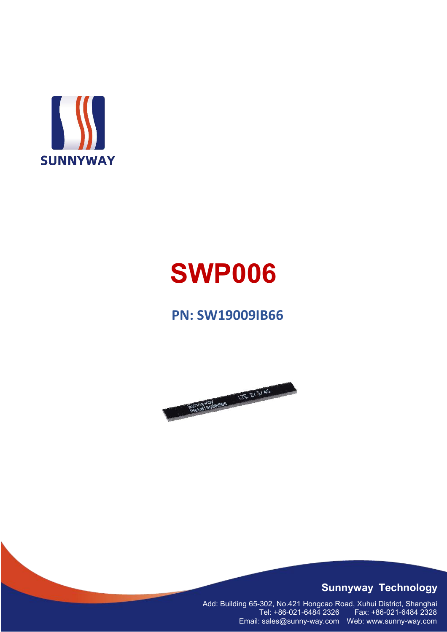

# **SWP006**

### **PN: SW19009IB66**



#### **Sunnyway Technology**

Add: Building 65-302, No.421 Hongcao Road, Xuhui District, Shanghai Tel: +86-021-6484 2326 Fax: +86-021-6484 2328 Email: sales@sunny-way.com Web: www.sunny-way.com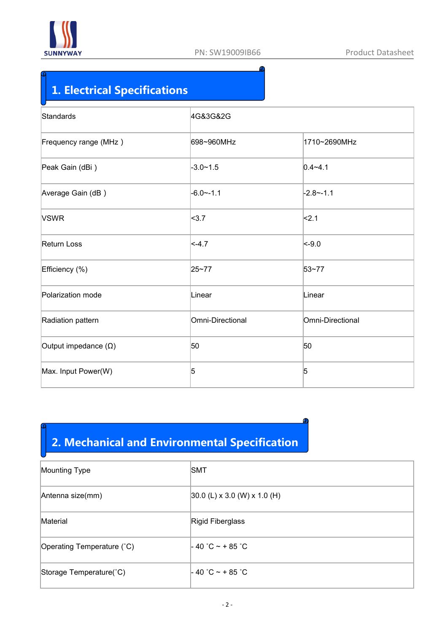

◕

## **1. Electrical Specifications**

| Standards                   | 4G&3G&2G         |                  |  |  |  |  |
|-----------------------------|------------------|------------------|--|--|--|--|
| Frequency range (MHz)       | 698~960MHz       | 1710~2690MHz     |  |  |  |  |
| Peak Gain (dBi)             | $-3.0 - 1.5$     | $0.4 - 4.1$      |  |  |  |  |
| Average Gain (dB)           | $-6.0 - -1.1$    | $-2.8 - -1.1$    |  |  |  |  |
| <b>VSWR</b>                 | <sub>3.7</sub>   | <sub>2.1</sub>   |  |  |  |  |
| Return Loss                 | $ < -4.7$        | $ $ <-9.0        |  |  |  |  |
| Efficiency (%)              | 25~77            | 53~77            |  |  |  |  |
| Polarization mode           | Linear           | Linear           |  |  |  |  |
| Radiation pattern           | Omni-Directional | Omni-Directional |  |  |  |  |
| Output impedance $(\Omega)$ | 50               | 50               |  |  |  |  |
| Max. Input Power(W)         | 5                | $\overline{5}$   |  |  |  |  |

# **2. Mechanical and Environmental Specification**

| Mounting Type              | <b>SMT</b>                      |
|----------------------------|---------------------------------|
| Antenna size(mm)           | $ 30.0$ (L) x 3.0 (W) x 1.0 (H) |
| Material                   | Rigid Fiberglass                |
| Operating Temperature (°C) | $-40$ °C ~ + 85 °C              |
| Storage Temperature(°C)    | $-40$ °C ~ + 85 °C              |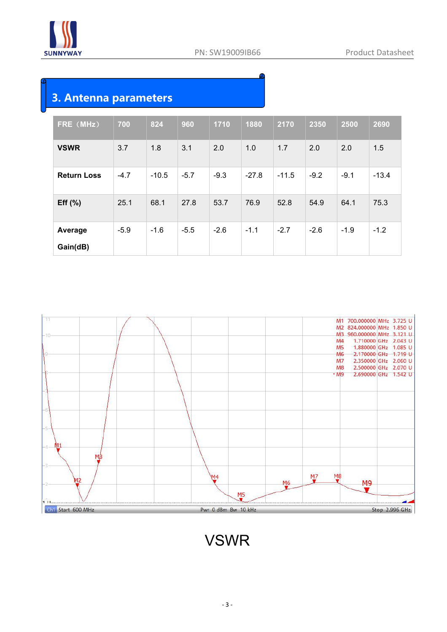

Ф

### **3. Antenna parameters**

| FRE (MHz)          | 700    | 824     | 960    | 1710   | 1880    | 2170    | 2350   | 2500   | 2690    |  |
|--------------------|--------|---------|--------|--------|---------|---------|--------|--------|---------|--|
| <b>VSWR</b>        | 3.7    | 1.8     | 3.1    | 2.0    | 1.0     | 1.7     | 2.0    | 2.0    | 1.5     |  |
| <b>Return Loss</b> | $-4.7$ | $-10.5$ | $-5.7$ | $-9.3$ | $-27.8$ | $-11.5$ | $-9.2$ | $-9.1$ | $-13.4$ |  |
| Eff $(\% )$        | 25.1   | 68.1    | 27.8   | 53.7   | 76.9    | 52.8    | 54.9   | 64.1   | 75.3    |  |
| Average            | $-5.9$ | $-1.6$  | $-5.5$ | $-2.6$ | $-1.1$  | $-2.7$  | $-2.6$ | $-1.9$ | $-1.2$  |  |
| Gain(dB)           |        |         |        |        |         |         |        |        |         |  |



# VSWR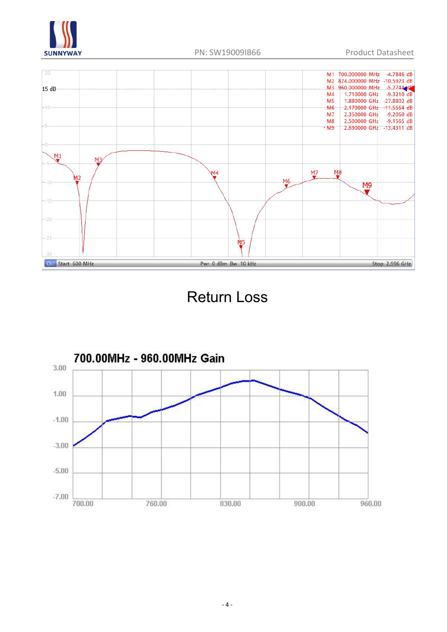



# Return Loss

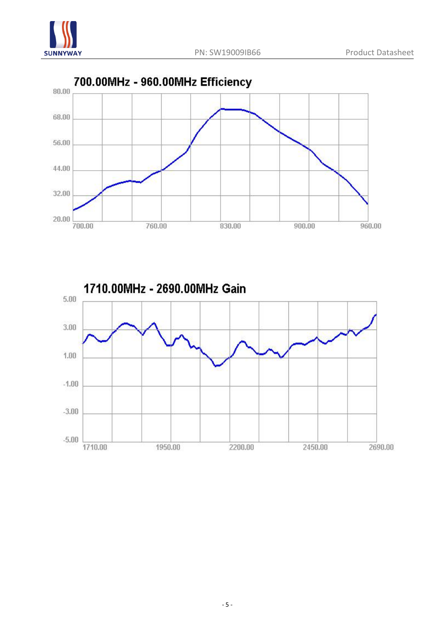



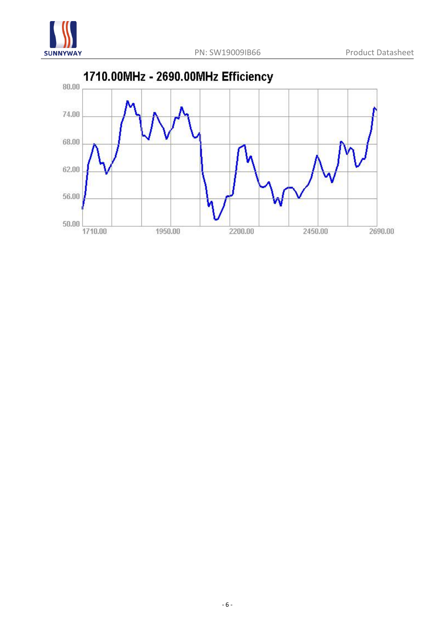

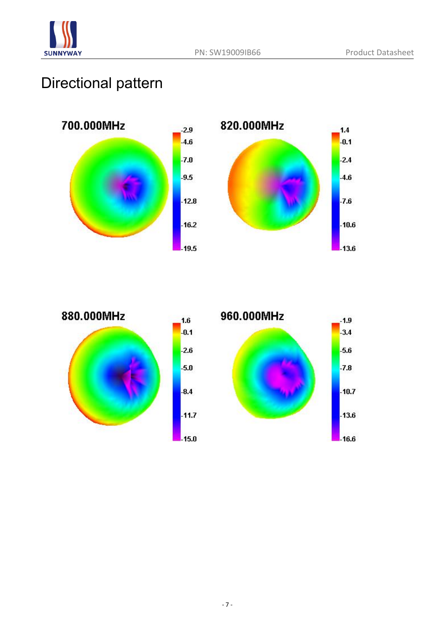

# Directional pattern





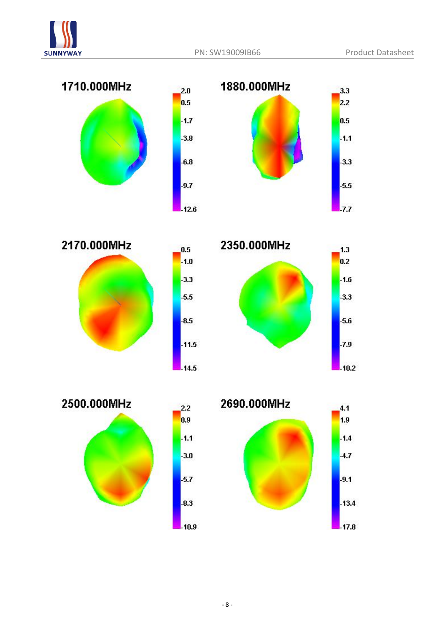

 $2.2$ 

 $0.9$ 

 $-1.1$ 

 $-3.0$ 

 $-5.7$ 

 $-8.3$ 







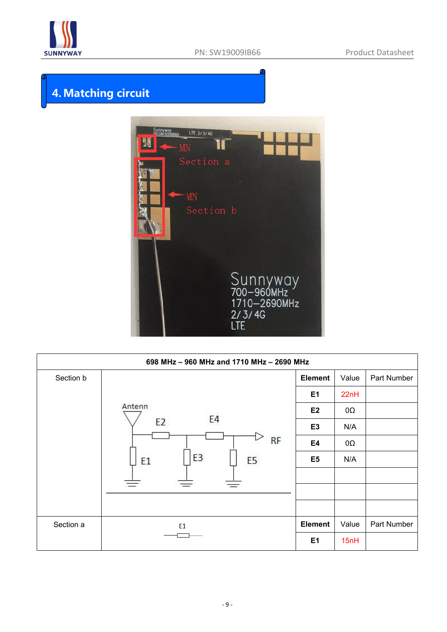

 $\bullet$ 

# **4.Matching circuit**



|           | 698 MHz - 960 MHz and 1710 MHz - 2690 MHz |                |       |             |
|-----------|-------------------------------------------|----------------|-------|-------------|
| Section b |                                           | <b>Element</b> | Value | Part Number |
|           |                                           | E1             | 22nH  |             |
|           | Antenn                                    | E <sub>2</sub> | 0Ω    |             |
|           | E4<br>E <sub>2</sub>                      | E <sub>3</sub> | N/A   |             |
|           | <b>RF</b>                                 | E4             | 0Ω    |             |
|           | E3<br>E <sub>5</sub><br>E <sub>1</sub>    | E <sub>5</sub> | N/A   |             |
|           |                                           |                |       |             |
|           |                                           |                |       |             |
| Section a | E1                                        | <b>Element</b> | Value | Part Number |
|           |                                           | E1             | 15nH  |             |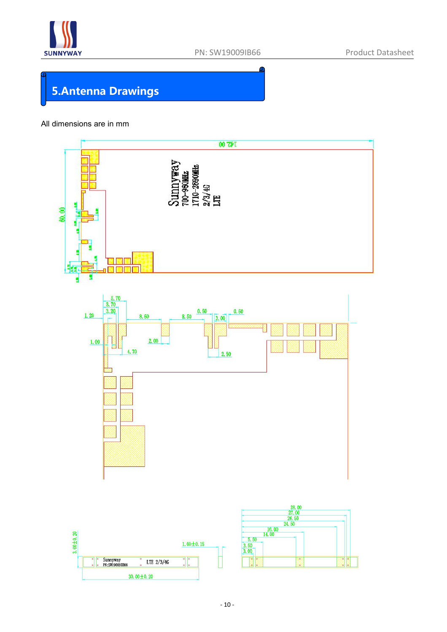

# **5.Antenna Drawings**

#### All dimensions are in mm